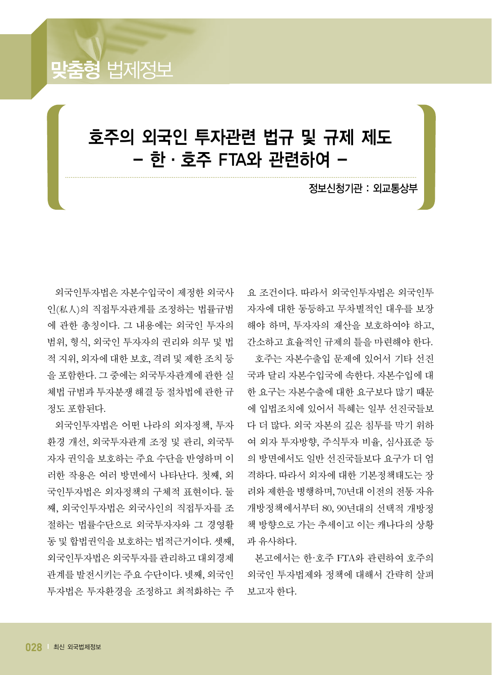

외국인투자법은 자본수입국이 제정한 외국사 인(私人)의 직접투자관계를 조정하는 법률규범 에 관한 총칭이다. 그 내용에는 외국인 투자의 범위, 형식, 외국인 투자자의 권리와 의무 및 법 적 지위, 외자에 대한 보호, 격려 및 제한 조치 등 을 포함한다. 그 중에는 외국투자관계에 관한 실 체법 규범과 투자분쟁 해결 등 절차법에 관한 규 정도 포함된다.

법제정보

외국인투자법은 어떤 나라의 외자정책, 투자 환경 개선, 외국투자관계 조정 및 관리, 외국투 자자 권익을 보호하는 주요 수단을 반영하며 이 러한 작용은 여러 방면에서 나타난다. 첫째, 외 국인투자법은 외자정책의 구체적 표현이다. 둘 째, 외국인투자법은 외국사인의 직접투자를 조 절하는 법률수단으로 외국투자자와 그 경영활 동 및 합법권익을 보호하는 법적근거이다. 셋째, 외국인투자법은 외국투자를 관리하고 대외경제 관계를 발전시키는 주요 수단이다. 넷째, 외국인 투자법은 투자환경을 조정하고 최적화하는 주 요 조건이다. 따라서 외국인투자법은 외국인투 자자에 대한 동등하고 무차별적인 대우를 보장 해야 하며, 투자자의 재산을 보호하여야 하고, 간소하고 효율적인 규제의 틀을 마련해야 한다.

호주는 자본수출입 문제에 있어서 기타 선진 국과 달리 자본수입국에 속한다. 자본수입에 대 한 요구는 자본수출에 대한 요구보다 많기 때문 에 입법조치에 있어서 특혜는 일부 선진국들보 다 더 많다. 외국 자본의 깊은 침투를 막기 위하 여 외자 투자방향, 주식투자 비율, 심사표준 등 의 방면에서도 일반 선진국들보다 요구가 더 엄 격하다. 따라서 외자에 대한 기본정책태도는 장 려와 제한을 병행하며, 70년대 이전의 전통 자유 개방정책에서부터 80, 90년대의 선택적 개방정 책 방향으로 가는 추세이고 이는 캐나다의 상황 과 유사하다.

본고에서는 한·호주 FTA와 관련하여 호주의 외국인 투자법제와 정책에 대해서 간략히 살펴 보고자 한다.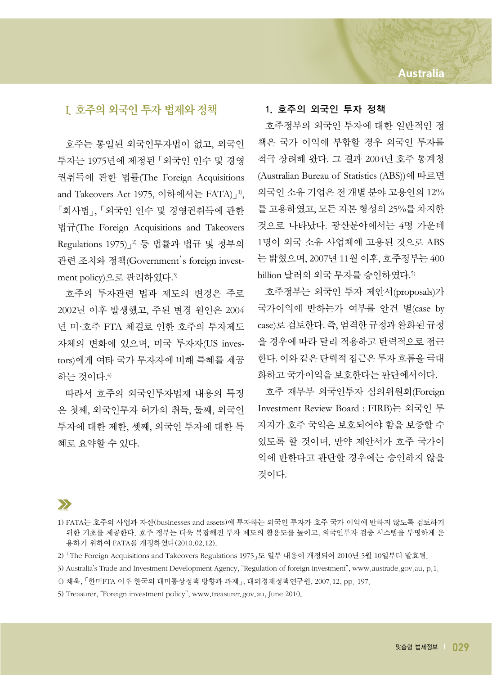### I. 호주의 외국인 투자 법제와 정책

호주는 통일된 외국인투자법이 없고, 외국인 투자는 1975년에 제정된 「외국인 인수 및 경영 권취득에 관한 법률(The Foreign Acquisitions and Takeovers Act 1975, 이하에서는 FATA)」<sup>1)</sup>, 「회사법」, 「외국인 인수 및 경영권취득에 관한 법규(The Foreign Acquisitions and Takeovers Regulations 1975)」<sup>2</sup>) 등 법률과 법규 및 정부의 관련 조치와 정책(Government's foreign investment policy)으로 관리하였다. 3)

호주의 투자관련 법과 제도의 변경은 주로 2002년 이후 발생했고, 주된 변경 원인은 2004 년 미·호주 FTA 체결로 인한 호주의 투자제도 자체의 변화에 있으며, 미국 투자자(US investors)에게 여타 국가 투자자에 비해 특혜를 제공 하는 것이다. 4)

따라서 호주의 외국인투자법제 내용의 특징 은 첫째, 외국인투자 허가의 취득, 둘째, 외국인 투자에 대한 제한, 셋째, 외국인 투자에 대한 특 혜로 요약할 수 있다.

### 1. 호주의 외국인 투자 정책

호주정부의 외국인 투자에 대한 일반적인 정 책은 국가 이익에 부합할 경우 외국인 투자를 적극 장려해 왔다. 그 결과 2004년 호주 통계청 (Australian Bureau of Statistics (ABS))에 따르면 외국인 소유 기업은 전 개별 분야 고용인의 12% 를 고용하였고, 모든 자본 형성의 25%를 차지한 것으로 나타났다. 광산분야에서는 4명 가운데 1명이 외국 소유 사업체에 고용된 것으로 ABS 는 밝혔으며, 2007년 11월 이후, 호주정부는 400 billion 달러의 외국 투자를 승인하였다.<sup>5</sup>

호주정부는 외국인 투자 제안서(proposals)가 국가이익에 반하는가 여부를 안건 별(case by case)로 검토한다. 즉, 엄격한 규정과 완화된 규정 을 경우에 따라 달리 적용하고 탄력적으로 접근 한다. 이와 같은 탄력적 접근은 투자 흐름을 극대 화하고 국가이익을 보호한다는 판단에서이다.

호주 재무부 외국인투자 심의위원회(Foreign Investment Review Board : FIRB)는 외국인 투 자자가 호주 국익은 보호되어야 함을 보증할 수 있도록 할 것이며, 만약 제안서가 호주 국가이 익에 반한다고 판단할 경우에는 승인하지 않을 것이다.

## $\sum$

<sup>1)</sup> FATA는 호주의 사업과 자산(businesses and assets)에 투자하는 외국인 투자가 호주 국가 이익에 반하지 않도록 검토하기 위한 기초를 제공한다. 호주 정부는 더욱 복잡해진 투자 제도의 활용도를 높이고, 외국인투자 검증 시스템을 투명하게 운 용하기 위하여 FATA를 개정하였다(2010.02.12).

<sup>2)</sup> 「The Foreign Acquisitions and Takeovers Regulations 1975」도 일부 내용이 개정되어 2010년 5월 10일부터 발효됨.

<sup>3)</sup> Australia's Trade and Investment Development Agency, "Regulation of foreign investment", www.austrade.gov.au, p.1.

<sup>4)</sup> 채욱, 「한미FTA 이후 한국의 대미통상정책 방향과 과제」, 대외경제정책연구원, 2007.12, pp. 197.

<sup>5)</sup> Treasurer, "Foreign investment policy", www.treasurer.gov.au, June 2010.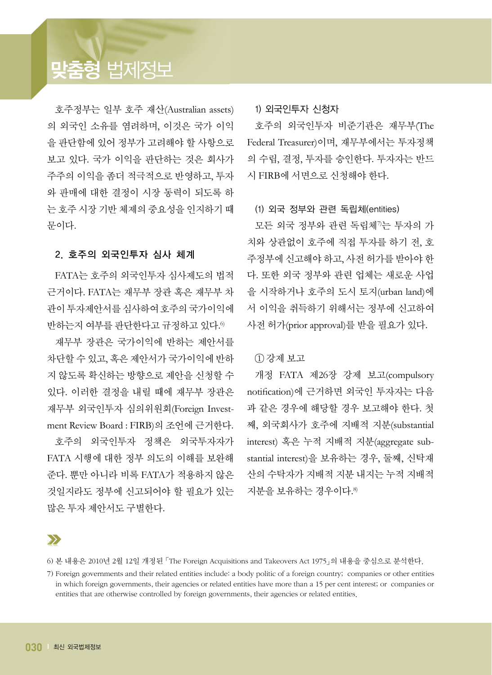# **맞춤형** 법제정보

호주정부는 일부 호주 재산(Australian assets) 의 외국인 소유를 염려하며, 이것은 국가 이익 을 판단함에 있어 정부가 고려해야 할 사항으로 보고 있다. 국가 이익을 판단하는 것은 회사가 주주의 이익을 좀더 적극적으로 반영하고, 투자 와 판매에 대한 결정이 시장 동력이 되도록 하 는 호주 시장 기반 체제의 중요성을 인지하기 때 문이다.

### 2. 호주의 외국인투자 심사 체계

FATA는 호주의 외국인투자 심사제도의 법적 근거이다. FATA는 재무부 장관 혹은 재무부 차 관이 투자제안서를 심사하여 호주의 국가이익에 반하는지 여부를 판단한다고 규정하고 있다. 6)

재무부 장관은 국가이익에 반하는 제안서를 차단할 수 있고, 혹은 제안서가 국가이익에 반하 지 않도록 확신하는 방향으로 제안을 신청할 수 있다. 이러한 결정을 내릴 때에 재무부 장관은 재무부 외국인투자 심의위원회(Foreign Investment Review Board : FIRB)의 조언에 근거한다.

호주의 외국인투자 정책은 외국투자자가 FATA 시행에 대한 정부 의도의 이해를 보완해 준다. 뿐만 아니라 비록 FATA가 적용하지 않은 것일지라도 정부에 신고되어야 할 필요가 있는 많은 투자 제안서도 구별한다.

#### 1) 외국인투자 신청자

호주의 외국인투자 비준기관은 재무부(The Federal Treasurer)이며, 재무부에서는 투자정책 의 수립, 결정, 투자를 승인한다. 투자자는 반드 시 FIRB에 서면으로 신청해야 한다.

### (1) 외국 정부와 관련 독립체(entities)

모든 외국 정부와 관련 독립체"는 투자의 가 치와 상관없이 호주에 직접 투자를 하기 전, 호 주정부에 신고해야 하고, 사전 허가를 받아야 한 다. 또한 외국 정부와 관련 업체는 새로운 사업 을 시작하거나 호주의 도시 토지(urban land)에 서 이익을 취득하기 위해서는 정부에 신고하여 사전 허가(prior approval)를 받을 필요가 있다.

### ① 강제 보고

개정 FATA 제26장 강제 보고(compulsory notification)에 근거하면 외국인 투자자는 다음 과 같은 경우에 해당할 경우 보고해야 한다. 첫 째, 외국회사가 호주에 지배적 지분(substantial interest) 혹은 누적 지배적 지분(aggregate substantial interest)을 보유하는 경우, 둘째, 신탁재 산의 수탁자가 지배적 지분 내지는 누적 지배적 지분을 보유하는 경우이다. 8)

 $\sum$ 

<sup>6)</sup> 본 내용은 2010년 2월 12일 개정된 「The Foreign Acquisitions and Takeovers Act 1975」의 내용을 중심으로 분석한다.

<sup>7)</sup> Foreign governments and their related entities include: a body politic of a foreign country; companies or other entities in which foreign governments, their agencies or related entities have more than a 15 per cent interest; or companies or entities that are otherwise controlled by foreign governments, their agencies or related entities.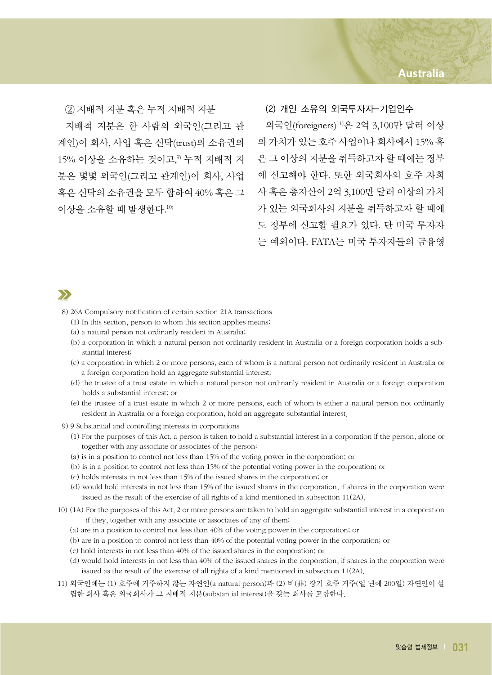### **Australia**

② 지배적 지분 혹은 누적 지배적 지분

지배적 지분은 한 사람의 외국인(그리고 관 계인)이 회사, 사업 혹은 신탁(trust)의 소유권의 의 가치가 있는 호주 사업이나 회사에서 15% 혹 15% 이상을 소유하는 것이고," 누적 지배적 지 \_ 은 그 이상의 지분을 취득하고자 할 때에는 정부 분은 몇몇 외국인(그리고 관계인)이 회사, 사업 에 신고해야 한다. 또한 외국회사의 호주 자회 혹은 신탁의 소유권을 모두 합하여 40% 혹은 그 사 혹은 총자산이 2억 3,100만 달러 이상의 가치 이상을 소유할 때 발생한다. $^{10}$ 

(2) 개인 소유의 외국투자자-기업인수 외국인(foreigners) 11) 은 2억 3,100만 달러 이상 가 있는 외국회사의 지분을 취득하고자 할 때에 도 정부에 신고할 필요가 있다. 단 미국 투자자 는 예외이다. FATA는 미국 투자자들의 금융영

# $\sum$

8) 26A Compulsory notification of certain section 21A transactions

- (1) In this section, person to whom this section applies means:
- (a) a natural person not ordinarily resident in Australia;
- (b) a corporation in which a natural person not ordinarily resident in Australia or a foreign corporation holds a substantial interest;
- (c) a corporation in which 2 or more persons, each of whom is a natural person not ordinarily resident in Australia or a foreign corporation hold an aggregate substantial interest;
- (d) the trustee of a trust estate in which a natural person not ordinarily resident in Australia or a foreign corporation holds a substantial interest; or
- (e) the trustee of a trust estate in which 2 or more persons, each of whom is either a natural person not ordinarily resident in Australia or a foreign corporation, hold an aggregate substantial interest.
- 9) 9 Substantial and controlling interests in corporations
	- (1) For the purposes of this Act, a person is taken to hold a substantial interest in a corporation if the person, alone or together with any associate or associates of the person:
	- (a) is in a position to control not less than 15% of the voting power in the corporation; or
	- (b) is in a position to control not less than 15% of the potential voting power in the corporation; or
	- (c) holds interests in not less than 15% of the issued shares in the corporation; or
	- (d) would hold interests in not less than 15% of the issued shares in the corporation, if shares in the corporation were issued as the result of the exercise of all rights of a kind mentioned in subsection 11(2A).
- 10) (1A) For the purposes of this Act, 2 or more persons are taken to hold an aggregate substantial interest in a corporation if they, together with any associate or associates of any of them:
	- (a) are in a position to control not less than 40% of the voting power in the corporation; or
	- (b) are in a position to control not less than 40% of the potential voting power in the corporation; or
	- (c) hold interests in not less than 40% of the issued shares in the corporation; or
	- (d) would hold interests in not less than 40% of the issued shares in the corporation, if shares in the corporation were issued as the result of the exercise of all rights of a kind mentioned in subsection 11(2A).
- 11) 외국인에는 (1) 호주에 거주하지 않는 자연인(a natural person)과 (2) 비(非) 장기 호주 거주(일 년에 200일) 자연인이 설 립한 회사 혹은 외국회사가 그 지배적 지분(substantial interest)을 갖는 회사를 포함한다.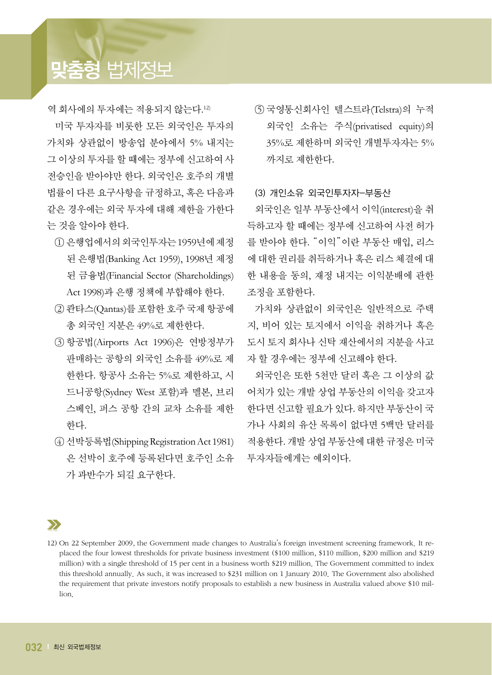# **맞춤형** 법제정보

역 회사에의 투자에는 적용되지 않는다. 12)

미국 투자자를 비롯한 모든 외국인은 투자의 가치와 상관없이 방송업 분야에서 5% 내지는 그 이상의 투자를 할 때에는 정부에 신고하여 사 전승인을 받아야만 한다. 외국인은 호주의 개별 법률이 다른 요구사항을 규정하고, 혹은 다음과 같은 경우에는 외국 투자에 대해 제한을 가한다 는 것을 알아야 한다.

- ① 은행업에서의외국인투자는1959년에제정 된 은행법(Banking Act 1959), 1998년 제정 된 금융법(Financial Sector (Shareholdings) Act 1998)과 은행 정책에 부합해야 한다.
- ② 콴타스(Qantas)를 포함한 호주 국제 항공에 총 외국인 지분은 49%로 제한한다.
- ③ 항공법(Airports Act 1996)은 연방정부가 판매하는 공항의 외국인 소유를 49%로 제 한한다. 항공사 소유는 5%로 제한하고, 시 드니공항(Sydney West 포함)과 멜본, 브리 스베인, 퍼스 공항 간의 교차 소유를 제한 한다.
- ④ 선박등록법(ShippingRegistrationAct 1981) 은 선박이 호주에 등록된다면 호주인 소유 가 과반수가 되길 요구한다.

⑤ 국영통신회사인 텔스트라(Telstra)의 누적 외국인 소유는 주식(privatised equity)의 35%로 제한하며 외국인 개별투자자는 5% 까지로 제한한다.

### (3) 개인소유 외국인투자자-부동산

외국인은 일부 부동산에서 이익(interest)을 취 득하고자 할 때에는 정부에 신고하여 사전 허가 를 받아야 한다. "이익"이란 부동산 매입, 리스 에 대한 권리를 취득하거나 혹은 리스 체결에 대 한 내용을 동의, 재정 내지는 이익분배에 관한 조정을 포함한다.

가치와 상관없이 외국인은 일반적으로 주택 지, 비어 있는 토지에서 이익을 취하거나 혹은 도시 토지 회사나 신탁 재산에서의 지분을 사고 자 할 경우에는 정부에 신고해야 한다.

외국인은 또한 5천만 달러 혹은 그 이상의 값 어치가 있는 개발 상업 부동산의 이익을 갖고자 한다면 신고할 필요가 있다. 하지만 부동산이 국 가나 사회의 유산 목록이 없다면 5백만 달러를 적용한다. 개발 상업 부동산에 대한 규정은 미국 투자자들에게는 예외이다.

 $\sum$ 

<sup>12)</sup> On 22 September 2009, the Government made changes to Australia's foreign investment screening framework. It replaced the four lowest thresholds for private business investment (\$100 million, \$110 million, \$200 million and \$219 million) with a single threshold of 15 per cent in a business worth \$219 million. The Government committed to index this threshold annually. As such, it was increased to \$231 million on 1 January 2010. The Government also abolished the requirement that private investors notify proposals to establish a new business in Australia valued above \$10 million.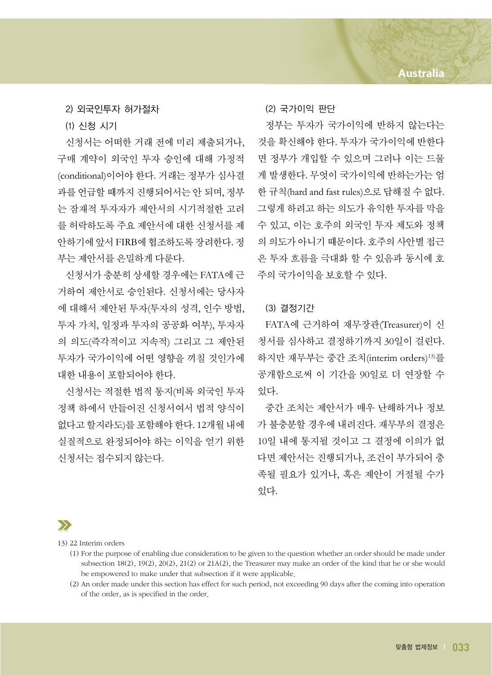2) 외국인투자 허가절차

(1) 신청 시기

신청서는 어떠한 거래 전에 미리 제출되거나, 구매 계약이 외국인 투자 승인에 대해 가정적 (conditional)이어야 한다. 거래는 정부가 심사결 과를 언급할 때까지 진행되어서는 안 되며, 정부 는 잠재적 투자자가 제안서의 시기적절한 고려 를 허락하도록 주요 제안서에 대한 신청서를 제 안하기에 앞서 FIRB에 협조하도록 장려한다. 정 부는 제안서를 은밀하게 다룬다.

신청서가 충분히 상세할 경우에는 FATA에 근 거하여 제안서로 승인된다. 신청서에는 당사자 에 대해서 제안된 투자(투자의 성격, 인수 방법, 투자 가치, 일정과 투자의 공공화 여부), 투자자 의 의도(즉각적이고 지속적) 그리고 그 제안된 투자가 국가이익에 어떤 영향을 끼칠 것인가에 대한 내용이 포함되어야 한다.

신청서는 적절한 법적 통지(비록 외국인 투자 정책 하에서 만들어진 신청서여서 법적 양식이 없다고 할지라도)를 포함해야 한다. 12개월 내에 실질적으로 완정되어야 하는 이익을 얻기 위한 신청서는 접수되지 않는다.

#### (2) 국가이익 판단

정부는 투자가 국가이익에 반하지 않는다는 것을 확신해야 한다. 투자가 국가이익에 반한다 면 정부가 개입할 수 있으며 그러나 이는 드물 게 발생한다. 무엇이 국가이익에 반하는가는 엄 한 규칙(hard and fast rules)으로 답해질 수 없다. 그렇게 하려고 하는 의도가 유익한 투자를 막을 수 있고, 이는 호주의 외국인 투자 제도와 정책 의 의도가 아니기 때문이다. 호주의 사안별 접근 은 투자 흐름을 극대화 할 수 있음과 동시에 호 주의 국가이익을 보호할 수 있다.

### (3) 결정기간

FATA에 근거하여 재무장관(Treasurer)이 신 청서를 심사하고 결정하기까지 30일이 걸린다. 하지만 재무부는 중간 조치(interim orders) 13) 를 공개함으로써 이 기간을 90일로 더 연장할 수 있다.

중간 조치는 제안서가 매우 난해하거나 정보 가 불충분할 경우에 내려진다. 재무부의 결정은 10일 내에 통지될 것이고 그 결정에 이의가 없 다면 제안서는 진행되거나, 조건이 부가되어 충 족될 필요가 있거나, 혹은 제안이 거절될 수가 있다.

## $\sum$

13) 22 Interim orders

- (1) For the purpose of enabling due consideration to be given to the question whether an order should be made under subsection 18(2), 19(2), 20(2), 21(2) or 21A(2), the Treasurer may make an order of the kind that he or she would be empowered to make under that subsection if it were applicable.
- (2) An order made under this section has effect for such period, not exceeding 90 days after the coming into operation of the order, as is specified in the order.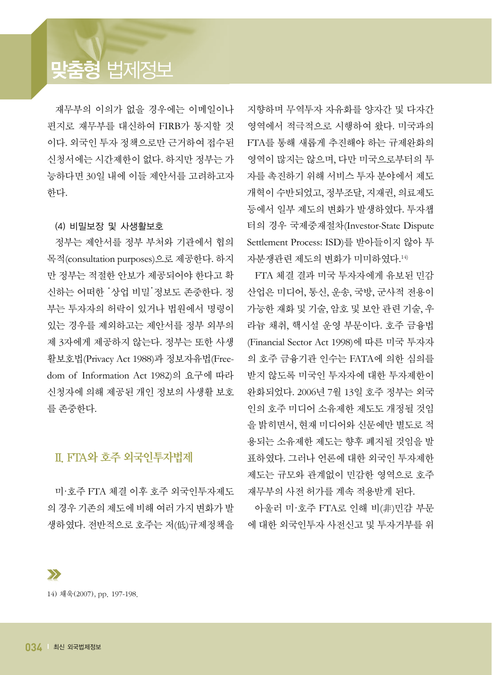# **맞춤형** 법제정보

재무부의 이의가 없을 경우에는 이메일이나 편지로 재무부를 대신하여 FIRB가 통지할 것 이다. 외국인 투자 정책으로만 근거하여 접수된 신청서에는 시간제한이 없다. 하지만 정부는 가 능하다면 30일 내에 이들 제안서를 고려하고자 한다.

#### (4) 비밀보장 및 사생활보호

정부는 제안서를 정부 부처와 기관에서 협의 목적(consultation purposes)으로 제공한다. 하지 만 정부는 적절한 안보가 제공되어야 한다고 확 신하는 어떠한 '상업 비밀'정보도 존중한다. 정 부는 투자자의 허락이 있거나 법원에서 명령이 있는 경우를 제외하고는 제안서를 정부 외부의 제 3자에게 제공하지 않는다. 정부는 또한 사생 활보호법(Privacy Act 1988)과 정보자유법(Freedom of Information Act 1982)의 요구에 따라 신청자에 의해 제공된 개인 정보의 사생활 보호 를 존중한다.

## II. FTA와 호주 외국인투자법제

미·호주 FTA 체결 이후 호주 외국인투자제도 의 경우 기존의 제도에 비해 여러 가지 변화가 발 생하였다. 전반적으로 호주는 저(低)규제정책을 지향하며 무역투자 자유화를 양자간 및 다자간 영역에서 적극적으로 시행하여 왔다. 미국과의 FTA를 통해 새롭게 추진해야 하는 규제완화의 영역이 많지는 않으며, 다만 미국으로부터의 투 자를 촉진하기 위해 서비스 투자 분야에서 제도 개혁이 수반되었고, 정부조달, 지재권, 의료제도 등에서 일부 제도의 변화가 발생하였다. 투자챕 터의 경우 국제중재절차(Investor-State Dispute Settlement Process: ISD)를 받아들이지 않아 투 자분쟁관련 제도의 변화가 미미하였다. 14)

FTA 체결 결과 미국 투자자에게 유보된 민감 산업은 미디어, 통신, 운송, 국방, 군사적 전용이 가능한 재화 및 기술, 암호 및 보안 관련 기술, 우 라늄 채취, 핵시설 운영 부문이다. 호주 금융법 (Financial Sector Act 1998)에 따른 미국 투자자 의 호주 금융기관 인수는 FATA에 의한 심의를 받지 않도록 미국인 투자자에 대한 투자제한이 완화되었다. 2006년 7월 13일 호주 정부는 외국 인의 호주 미디어 소유제한 제도도 개정될 것임 을 밝히면서, 현재 미디어와 신문에만 별도로 적 용되는 소유제한 제도는 향후 폐지될 것임을 발 표하였다. 그러나 언론에 대한 외국인 투자제한 제도는 규모와 관계없이 민감한 영역으로 호주 재무부의 사전 허가를 계속 적용받게 된다.

아울러 미·호주 FTA로 인해 비(非)민감 부문 에 대한 외국인투자 사전신고 및 투자거부를 위

14) 채욱(2007), pp. 197-198.

 $\sum$